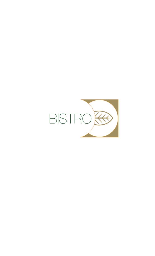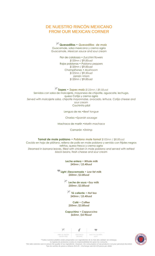# DE NUESTRO RINCÓN MEXICANO FROM OUR MEXICAN CORNER

**Quesadillas •** *Quesadillas de maiz* Guacamole, salsa mexicana y crema agria *Guacamole, Mexican sauce and sour cream*

> Flor de calabaza • *Zucchini flowers \$120mn / \$9.00usd* Rajas poblanas • *Poblano peppers \$120mn / \$9.00usd* Champiñones • *Mushroom \$125mn / \$9.50usd* Jamón •*Ham \$120mn / \$9.00usd*

**Sopes •** *Sopes maiz \$125mn / \$9.50usd* Servidos con salsa de molcajete, mayonesa de chipotle, aguacate, lechuga, queso Cotija y crema agria *Served with molcajete salsa, chipotle mayonnaise, avocado, lettuce, Cotija cheese and sour cream* Cochinita pibil

Lengua de res •*Beef tongue*

Chorizo •*Spanish sausage*

Machaca de marlín •*Marlin machaca*

Camarón •*Shrimp*

**Tamal de mole poblano •** *Poblano mole tamal \$105mn / \$8.00usd* Cocido en hoja de plátano, relleno de pollo en mole poblano y servido con frijoles negros refritos, queso fresco y crema agria *Steamed in banana leaves, filled with chicken in mole poblano and served with refried black beans, fresh cheese and sour cream*

> **Leche entera •** *Whole milk \$45mn / \$3.40usd*

**Light /Descremada •** *Low fat milk \$50mn /\$3.80usd*

> **Leche de soya •***Soy milk \$50mn /\$3.80usd*

**Té caliente •** *Hot tea \$45mn / \$3.40usd*

**Café •** *Coffee \$50mn /\$3.80usd*

**Capuchino •** *Cappuccino \$65mn /\$4.90usd*

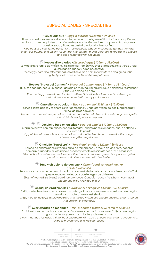# ESPECIALIDADES • SPECIALTIES

## **Huevos canasta •** *Eggs in a basket \$120mn / \$9.00usd*

Huevos estrellados en canasta de tortilla de harina, con frijoles refritos, tocino, champiñones, espinacas, tomate, pimiento morrón verde y cebolla. Guarniciones: papa *hashbrown*, queso panela asado y jitomates deshidratados a las hierbas finas.

*Fried eggs in a flour tortilla basket with refried beans, bacon, mushrooms, spinach, tomato, green bell pepper and onions. Accompaniments: hash-brown potatoes, grilled panela cheese and dried tomatoes with fine herbs.*

## **Huevos divorciados •***Divorced eggs \$120mn / \$9.00usd*

Servidos sobre tortilla de maíz frita, frijoles refritos, jamón y huevos estrellados, salsa verde y roja, queso panela asado y papa *hashbrown*

*Fried eggs, ham and refried beans served on a fried corn tortilla with red and green salsas, grilled panela cheese and hash-brown potatoes*

## **Huevos "Playa del Carmen" •** *Playa del Carmen eggs \$145mn / \$11.00usd*

Huevos pochados sobre un bísquet dorado en mantequilla, salami, salsa holandesa "florentina" y taquito dorado de pollo

*Poached eggs, served on a toasted, buttered biscuit with salami and Florentine-style Hollandaise sauce, served with a crispy chicken taco*

## **Omelette de bacalao •** *Black cod omelet \$165mn / \$12.50usd*

Servido sobre papas y tocineta estilo "campesino", vinagreta virgen de aceitunas negras y timbal de rajas poblanas

*Served over campesino-style potato and bacon sautée, with black olive extra virgin vinaigrette and mini timbale of poblano peppers*

#### **Omelette bajo en calorías •** *Low-cal omelet \$120mn / \$9.00usd*

Claras de huevo con espinacas, cebolla, tomates, champiñones salteados, queso cottage y verduras a la parrilla

*Egg whites with spinach, onions, tomatoes and sautéed mushrooms, served with cottage cheese and grilled vegetables*

## **Omelette "Forestiere" •** *"Forestiere" omelet \$120mn / \$9.00usd*

Relleno de champiñones silvestres, salsa de ternera con un toque de vino tinto, cebollas cambray glaseadas, queso panela asado y jitomates deshidratados a las hierbas finas *Filled with wild mushrooms, veal sauce with a touch of red wine, glazed baby onions, grilled panela cheese and dried tomatoes with fine herbs.*

## **Sándwich abierto de centeno •** *Open-faced sandwich on rye \$125mn /\$9.50usd*

Rebanadas de pan de centeno tostadas, salsa cassé de tomate, lomo canadiense, jamón York, queso de cabra gratinado y aceite virgen de chile rojo

*Slices of toasted rye bread, cassé tomato sauce, Canadian bacon, York ham, warm goat cheese and extra virgin red chili oil*

**Chilaquiles tradicionales •** *Traditional chilaquiles \$145mn / \$11.00usd*

Tortilla crujiente salteada en salsa roja picante, gratinados con queso mozarella y crema agria, servidos con pollo o huevos estrellados.

*Crispy fried tortilla strips in spicy red salsa with melted Mozzarella cheese and sour cream. Served with chicken or fried eggs.*

## **Mini tostadas de machaca •** *Mini machaca tostadas \$175mn /\$13.30usd*

3 mini tostadas de machaca: de camarón, de res y de marlín con queso Cotija, crema agria, guacamole, mayonesa de chipotle y salsa mexicana

*3 mini machaca tostadas: shrimp, beef and marlin, with Cotija cheese, sour cream, guacamole, chipotle mayonnaise and Mexican sauce*



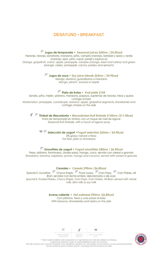# DESAYUNO • BREAKFAST

**Jugos de temporada •** *Seasonal juices \$60mn / \$4.50usd* Naranja, toronja, zanahoria, manzana, piña, vampiro (naranja, betabel y apio) y verde (naranja, apio, piña, nopal, perejil y espinaca) *Orange, grapefruit, carrot, apple, pineapple, vampire (orange, beet and celery) and green (orange, celery, pineapple, cactus, parsley and spinach)*

> **Jugos de soya •** *Soy juice blends \$65mn / \$4.90usd* Mango, durazno, guanábana o manzana *Mango, peach, soursop or apple*

**Plato de frutas •** *Fruit plate \$105* Sandía, piña, melón, plátano, manzana, papaya, supremas de toronja, fresa y queso cottage al lado *Watermelon, pineapple, cantaloupe, banana, apple, grapefruit segments, strawberries and cottage cheese on the side*

**Timbal de Macedonia •** *Macedonian fruit timbale \$145mn /\$11.00usd* Fruta de temporada en timbal, con un toque de miel de agave *Seasonal fruit timbale, with a touch of agave syrup*

**Selección de yogurt •***Yogurt selection \$65mn / \$4.90usd* 0% grasa: natural o fresa *Fat free: plain or strawberry*

**Smoothies de yogurt •** *Yogurt smoothies \$85mn / \$6.50usd*

Fresa, plátano, frambuesa, ciruela pasa, mango, coco, servido con cereal o granola *Strawberry, banana, raspberry, prunes, mango and coconut, served with cereal or granola*

**Cereales •** *Cereals \$90mn /\$6.80usd*

Special K, Zucaritas, Choco Krispis, Froot Loops, Corn Pops, Corn Flakes, All Bran; servidos con leche entera, descremada o de soya *Special K, Frosted Flakes, Choco Krispis, Corn Pops, Corn Flakes, All Bran; served with whole milk, skim milk or soy milk*

**Avena caliente •** *Hot oatmeal \$90mn /\$6.80usd*

Con plátano, fresa y uvas pasas al lado *With banana, strawberries and raisins on the side*



UBRE DE GLUTEN